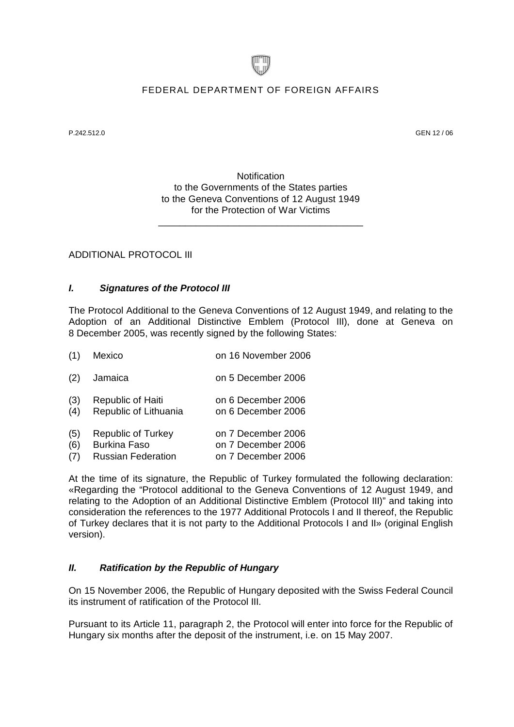

### FEDERAL DEPARTMENT OF FOREIGN AFFAIRS

P.242.512.0 GEN 12 / 06

**Notification** to the Governments of the States parties to the Geneva Conventions of 12 August 1949 for the Protection of War Victims

\_\_\_\_\_\_\_\_\_\_\_\_\_\_\_\_\_\_\_\_\_\_\_\_\_\_\_\_\_\_\_\_\_\_\_\_\_\_

ADDITIONAL PROTOCOL III

### *I. Signatures of the Protocol III*

The Protocol Additional to the Geneva Conventions of 12 August 1949, and relating to the Adoption of an Additional Distinctive Emblem (Protocol III), done at Geneva on 8 December 2005, was recently signed by the following States:

| (1) | Mexico |  | on 16 November 2006 |
|-----|--------|--|---------------------|
|     |        |  |                     |

- (2) Jamaica on 5 December 2006
- (3) Republic of Haiti on 6 December 2006
- (4) Republic of Lithuania on 6 December 2006

| (5)<br>Republic of Turkey | on 7 December 2006 |
|---------------------------|--------------------|
|---------------------------|--------------------|

- (6) Burkina Faso on 7 December 2006
- (7) Russian Federation on 7 December 2006

At the time of its signature, the Republic of Turkey formulated the following declaration: «Regarding the "Protocol additional to the Geneva Conventions of 12 August 1949, and relating to the Adoption of an Additional Distinctive Emblem (Protocol III)" and taking into consideration the references to the 1977 Additional Protocols I and II thereof, the Republic of Turkey declares that it is not party to the Additional Protocols I and II» (original English version).

### *II. Ratification by the Republic of Hungary*

On 15 November 2006, the Republic of Hungary deposited with the Swiss Federal Council its instrument of ratification of the Protocol III.

Pursuant to its Article 11, paragraph 2, the Protocol will enter into force for the Republic of Hungary six months after the deposit of the instrument, i.e. on 15 May 2007.